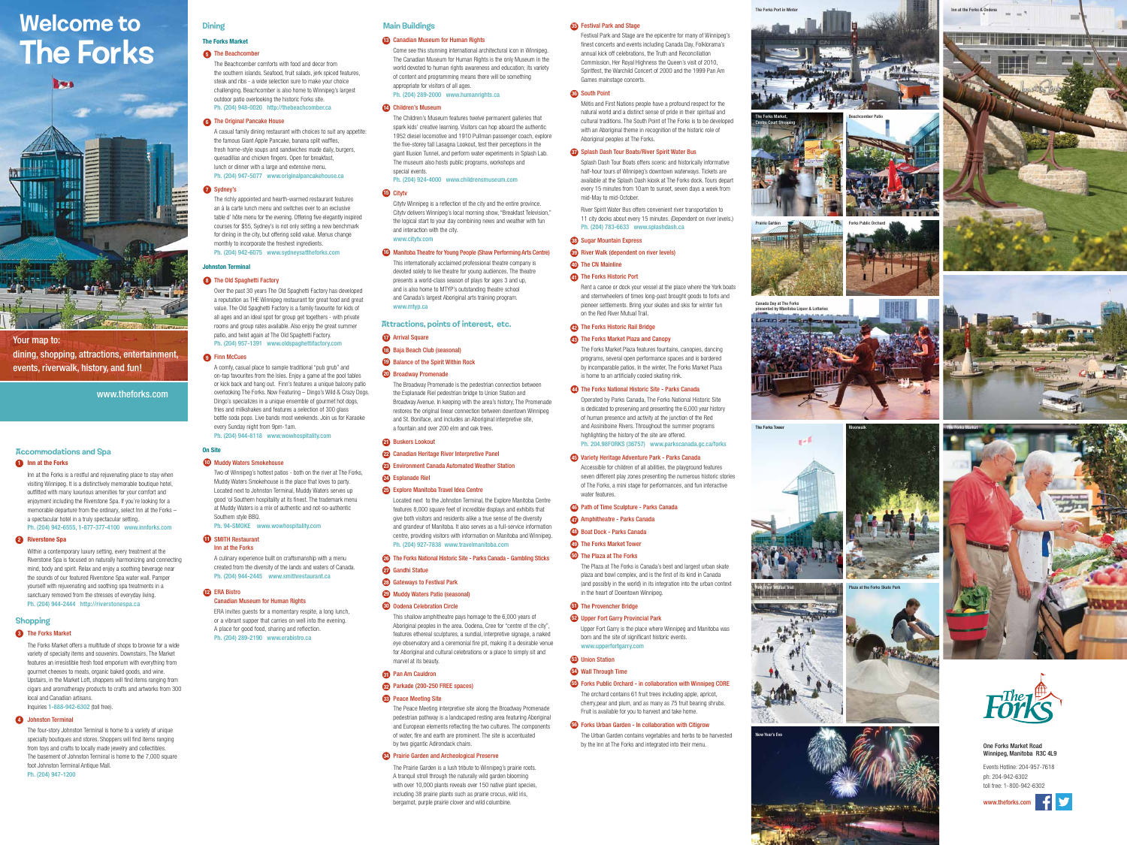# Welcome to The Forks



Your map to: dining, shopping, attractions, entertainment, events, riverwalk, history, and fun!

www.theforks.com

## Dining

# The Forks Market

### 5 The Beachcomber

The Beachcomber comforts with food and decor from the southern islands. Seafood, fruit salads, jerk spiced features, steak and ribs - a wide selection sure to make your choice challenging. Beachcomber is also home to Winnipeg's largest outdoor patio overlooking the historic Forks site. Ph. (204) 948-0020 http://thebeachcomber.ca

A casual family dining restaurant with choices to suit any appetite: the famous Giant Apple Pancake, banana split waffles, fresh home-style soups and sandwiches made daily, burgers, quesadillas and chicken fingers. Open for breakfast, lunch or dinner with a large and extensive menu. Ph. (204) 947-5077 www.originalpancakehouse.ca

#### 7 Sydney's

8 The Old Spaghetti Factory Over the past 30 years The Old Spaghetti Factory has developed a reputation as THE Winnipeg restaurant for great food and great value. The Old Spaghetti Factory is a family favourite for kids of all ages and an ideal spot for group get togethers - with private rooms and group rates available. Also enjoy the great summer patio, and twist again at The Old Spaghetti Factory. Ph. (204) 957-1391 www.oldspaghettifactory.com

The richly appointed and hearth-warmed restaurant features an à la carte lunch menu and switches over to an exclusive table d' hôte menu for the evening. Offering five elegantly inspired courses for \$55, Sydney's is not only setting a new benchmark for dining in the city, but offering solid value. Menus change monthly to incorporate the freshest ingredients. Ph. (204) 942-6075 www.sydneysattheforks.com

# **Dhnston Terminal**

A comfy, casual place to sample traditional "pub grub" and on-tap favourites from the Isles. Enjoy a game at the pool tables or kick back and hang out. Finn's features a unique balcony patio overlooking The Forks. Now Featuring – Dingo's Wild & Crazy Dogs. Dingo's specializes in a unique ensemble of gourmet hot dogs, fries and milkshakes and features a selection of 300 glass bottle soda pops. Live bands most weekends. Join us for Karaoke every Sunday night from 9pm-1am.

Ph. (204) 944-8118 www.wowhospitality.com

### On Site

#### 10 Muddy Waters Smokehouse

Two of Winnipeg's hottest patios - both on the river at The Forks, Muddy Waters Smokehouse is the place that loves to party. Located next to Johnston Terminal, Muddy Waters serves up good 'ol Southern hospitality at its finest. The trademark menu at Muddy Waters is a mix of authentic and not-so-authentic Southern style BBQ. Ph. 94-SMOKE www.wowhospitality.com

#### SMITH Restaurant 11 Inn at the Forks

A culinary experience built on craftsmanship with a menu created from the diversity of the lands and waters of Canada. Ph. (204) 944-2445 www.smithrestaurant.ca

#### 12 ERA Bistro

Canadian Museum for Human Rights ERA invites guests for a momentary respite, a long lunch, or a vibrant supper that carries on well into the evening. A place for good food, sharing and reflection.

Ph. (204) 289-2190 www.erabistro.ca

#### Main Buildings

#### 13 Canadian Museum for Human Rights

Come see this stunning international architectural icon in Winnipeg. The Canadian Museum for Human Rights is the only Museum in the world devoted to human rights awareness and education; its variety of content and programming means there will be something appropriate for visitors of all ages. Ph. (204) 289-2000 www.humanrights.ca

The Children's Museum features twelve permanent galleries that spark kids' creative learning. Visitors can hop aboard the authentic 1952 diesel locomotive and 1910 Pullman passenger coach, explore the five-storey tall Lasagna Lookout, test their perceptions in the giant Illusion Tunnel, and perform water experiments in Splash Lab. The museum also hosts public programs, workshops and special events.

### Ph. (204) 924-4000 www.childrensmuseum.com

### **15** Citytv

Citytv Winnipeg is a reflection of the city and the entire province. Citytv delivers Winnipeg's local morning show, "Breakfast Television," the logical start to your day combining news and weather with fun and interaction with the city. www.citytv.com

This internationally acclaimed professional theatre company is devoted solely to live theatre for young audiences. The theatre presents a world-class season of plays for ages 3 and up, and is also home to MTYP's outstanding theatre school and Canada's largest Aboriginal arts training program. www.mtyp.ca

#### Attractions, points of interest, etc.

The Broadway Promenade is the pedestrian connection between the Esplanade Riel pedestrian bridge to Union Station and Broadway Avenue. In keeping with the area's history, The Promenade restores the original linear connection between downtown Winnipeg and St. Boniface, and includes an Aboriginal interpretive site, a fountain and over 200 elm and oak trees.

#### 21 Buskers Lookout

#### 22 Canadian Heritage River Interpretive Panel

#### 23 Environment Canada Automated Weather Station

#### 24 Esplanade Riel

#### 25 Explore Manitoba Travel Idea Centre

Located next to the Johnston Terminal, the Explore Manitoba Centre features 8,000 square feet of incredible displays and exhibits that give both visitors and residents alike a true sense of the diversity and grandeur of Manitoba. It also serves as a full-service information centre, providing visitors with information on Manitoba and Winnipeg. Ph. (204) 927-7838 www.travelmanitoba.com

#### 26 The Forks National Historic Site - Parks Canada - Gambling Sticks

#### 27 Gandhi Statue

This shallow amphitheatre pays homage to the 6,000 years of Aboriginal peoples in the area. Oodena, Cree for "centre of the city", features ethereal sculptures, a sundial, interpretive signage, a naked eye observatory and a ceremonial fire pit, making it a desirable venue for Aboriginal and cultural celebrations or a place to simply sit and marvel at its beauty.

- 28 Gateways to Festival Park
- Muddy Waters Patio (seasonal) 29

### The Original Pancake House 6

The Peace Meeting interpretive site along the Broadway Promenade pedestrian pathway is a landscaped resting area featuring Aboriginal and European elements reflecting the two cultures. The components of water, fire and earth are prominent. The site is accentuated by two gigantic Adirondack chairs.

The Prairie Garden is a lush tribute to Winnipeg's prairie roots. A tranquil stroll through the naturally wild garden blooming with over 10,000 plants reveals over 150 native plant species, including 38 prairie plants such as prairie crocus, wild iris, bergamot, purple prairie clover and wild columbine.

### 35 Festival Park and Stage

#### Finn McCues 9

Festival Park and Stage are the epicentre for many of Winnipeg's finest concerts and events including Canada Day, Folklorama's annual kick off celebrations, the Truth and Reconciliation Commission, Her Royal Highness the Queen's visit of 2010, Spiritfest, the Warchild Concert of 2000 and the 1999 Pan Am Games mainstage concerts.

#### 36 South Point

Métis and First Nations people have a profound respect for the natural world and a distinct sense of pride in their spiritual and cultural traditions. The South Point of The Forks is to be developed with an Aboriginal theme in recognition of the historic role of Aboriginal peoples at The Forks.

#### 37 Splash Dash Tour Boats/River Spirit Water Bus

Splash Dash Tour Boats offers scenic and historically informative half-hour tours of Winnipeg's downtown waterways. Tickets are available at the Splash Dash kiosk at The Forks dock. Tours depart every 15 minutes from 10am to sunset, seven days a week from mid-May to mid-October.

### Children's Museum 14

River Spirit Water Bus offers convenient river transportation to 11 city docks about every 15 minutes. (Dependent on river levels.) Ph. (204) 783-6633 www.splashdash.ca

#### **33** Sugar Mountain Express

39 River Walk (dependent on river levels)

### Manitoba Theatre for Young People (Shaw Performing Arts Centre) 16

Rent a canoe or dock your vessel at the place where the York boats and sternwheelers of times long-past brought goods to forts and pioneer settlements. Bring your skates and skis for winter fun on the Red River Mutual Trail.

#### 42 The Forks Historic Rail Bridge

#### 43 The Forks Market Plaza and Canopy

#### Arrival Square 17

- 18 Baja Beach Club (seasonal)
- 19 Balance of the Spirit Within Rock

#### 20 Broadway Promenade

The Forks Market Plaza features fountains, canopies, dancing programs, several open performance spaces and is bordered by incomparable patios. In the winter, The Forks Market Plaza is home to an artificially cooled skating rink.

#### 44 The Forks National Historic Site - Parks Canada

Operated by Parks Canada, The Forks National Historic Site is dedicated to preserving and presenting the 6,000 year history of human presence and activity at the junction of the Red and Assiniboine Rivers. Throughout the summer programs highlighting the history of the site are offered. Ph. 204.98FORKS (36757) www.parkscanada.gc.ca/forks

# 45 Variety Heritage Adventure Park - Parks Canada

# Oodena Celebration Circle 30

#### Parkade (200-250 FREE spaces) 32

#### Pan Am Cauldron 31

Accessible for children of all abilities, the playground features seven different play zones presenting the numerous historic stories of The Forks, a mini stage for performances, and fun interactive water features.

#### 46 Path of Time Sculpture - Parks Canada

#### Peace Meeting Site 33

#### Prairie Garden and Archeological Preserve 34

The Plaza at The Forks is Canada's best and largest urban skate plaza and bowl complex, and is the first of its kind in Canada (and possibly in the world) in its integration into the urban context in the heart of Downtown Winnipeg.

#### 51 The Provencher Bridge

#### 52 Upper Fort Garry Provincial Park

Upper Fort Garry is the place where Winnipeg and Manitoba was born and the site of significant historic events. www.upperfortgarry.com

The orchard contains 61 fruit trees including apple, apricot, cherry,pear and plum, and as many as 75 fruit bearing shrubs. Fruit is available for you to harvest and take home.

#### 56 Forks Urban Garden - In collaboration with Citigrow

# The CN Mainline 40

#### 41 The Forks Historic Port

The Urban Garden contains vegetables and herbs to be harvested by the Inn at The Forks and integrated into their menu.

### Accommodations and Spa

### **i** Inn at the Forks

Inn at the Forks is a restful and rejuvenating place to stay when visiting Winnipeg. It is a distinctively memorable boutique hotel, outfitted with many luxurious amenities for your comfort and enjoyment including the Riverstone Spa. If you're looking for a memorable departure from the ordinary, select Inn at the Forks – a spectacular hotel in a truly spectacular setting. Ph. (204) 942-6555, 1-877-377-4100 www.innforks.com

#### 2 Riverstone Spa

Amphitheatre - Parks Canada 47

#### 48 Boat Dock - Parks Canada

49 The Forks Market Tower

#### 50 The Plaza at The Forks

### Union Station 53

54) Wall Through Time

### 55 Forks Public Orchard - in collaboration with Winnipeg CORE

Within a contemporary luxury setting, every treatment at the Riverstone Spa is focused on naturally harmonizing and connecting mind, body and spirit. Relax and enjoy a soothing beverage near the sounds of our featured Riverstone Spa water wall. Pamper yourself with rejuvenating and soothing spa treatments in a sanctuary removed from the stresses of everyday living. Ph. (204) 944-2444 http://riverstonespa.ca

### **Shopping**

#### **3** The Forks Market

The Forks Market offers a multitude of shops to browse for a wide variety of specialty items and souvenirs. Downstairs, The Market features an irresistible fresh food emporium with everything from gourmet cheeses to meats, organic baked goods, and wine. Upstairs, in the Market Loft, shoppers will find items ranging from cigars and aromatherapy products to crafts and artworks from 300 local and Canadian artisans. Inquiries 1-888-942-6302 (toll free).

# Johnston Terminal 4

The four-story Johnston Terminal is home to a variety of unique specialty boutiques and stores. Shoppers will find items ranging from toys and crafts to locally made jewelry and collectibles. The basement of Johnston Terminal is home to the 7,000 square foot Johnston Terminal Antique Mall. Ph. (204) 947-1200



Inn at the Forks & O





The Forks Tower



Canada Day at The Forks presented by Manitoba Liquor & Lotteries



Riverwalk









Prairie Garden

The Forks Port in Winter











#### One Forks Market Road Winnipeg, Manitoba R3C 4L9

Events Hotline: 204-957-7618 ph: 204-942-6302 toll free: 1-800-942-6302

![](_page_0_Picture_141.jpeg)

www.theforks.com F

![](_page_0_Picture_143.jpeg)

![](_page_0_Picture_144.jpeg)